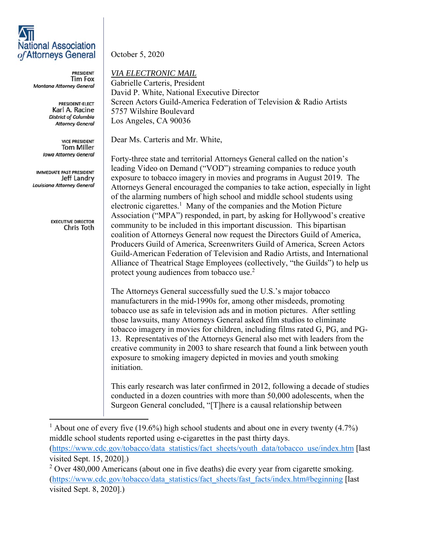## **National Association** of Attorneys General

**PRESIDENT Tim Fox** Montana Attorney General

> PRESIDENT-ELECT Karl A. Racine **District of Columbia Attorney General**

**VICE PRESIDENT Tom Miller Iowa Attorney General** 

IMMEDIATE PAST PRESIDENT Jeff Landry Louisiana Attorney General

> **EXECUTIVE DIRECTOR** Chris Toth

October 5, 2020

*VIA ELECTRONIC MAIL* 

Gabrielle Carteris, President David P. White, National Executive Director Screen Actors Guild-America Federation of Television & Radio Artists 5757 Wilshire Boulevard Los Angeles, CA 90036

Dear Ms. Carteris and Mr. White,

Forty-three state and territorial Attorneys General called on the nation's leading Video on Demand ("VOD") streaming companies to reduce youth exposure to tobacco imagery in movies and programs in August 2019. The Attorneys General encouraged the companies to take action, especially in light of the alarming numbers of high school and middle school students using electronic cigarettes.<sup>1</sup> Many of the companies and the Motion Picture Association ("MPA") responded, in part, by asking for Hollywood's creative community to be included in this important discussion. This bipartisan coalition of Attorneys General now request the Directors Guild of America, Producers Guild of America, Screenwriters Guild of America, Screen Actors Guild-American Federation of Television and Radio Artists, and International Alliance of Theatrical Stage Employees (collectively, "the Guilds") to help us protect young audiences from tobacco use.<sup>2</sup>

The Attorneys General successfully sued the U.S.'s major tobacco manufacturers in the mid-1990s for, among other misdeeds, promoting tobacco use as safe in television ads and in motion pictures. After settling those lawsuits, many Attorneys General asked film studios to eliminate tobacco imagery in movies for children, including films rated G, PG, and PG-13. Representatives of the Attorneys General also met with leaders from the creative community in 2003 to share research that found a link between youth exposure to smoking imagery depicted in movies and youth smoking initiation.

This early research was later confirmed in 2012, following a decade of studies conducted in a dozen countries with more than 50,000 adolescents, when the Surgeon General concluded, "[T]here is a causal relationship between

<sup>1</sup> About one of every five (19.6%) high school students and about one in every twenty (4.7%) middle school students reported using e-cigarettes in the past thirty days. (https://www.cdc.gov/tobacco/data\_statistics/fact\_sheets/youth\_data/tobacco\_use/index.htm [last visited Sept. 15, 2020].)

 $2$  Over 480,000 Americans (about one in five deaths) die every year from cigarette smoking. (https://www.cdc.gov/tobacco/data\_statistics/fact\_sheets/fast\_facts/index.htm#beginning [last visited Sept. 8, 2020].)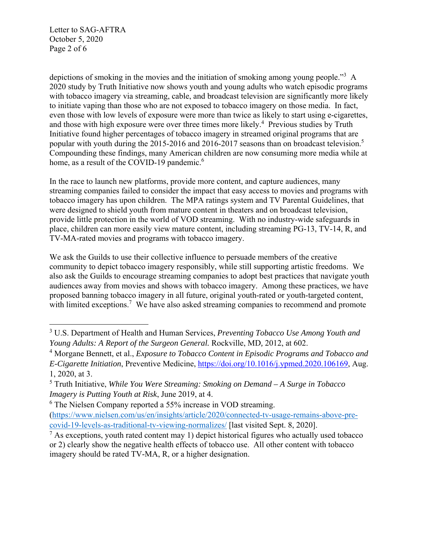Letter to SAG-AFTRA October 5, 2020 Page 2 of 6

depictions of smoking in the movies and the initiation of smoking among young people."<sup>3</sup> A 2020 study by Truth Initiative now shows youth and young adults who watch episodic programs with tobacco imagery via streaming, cable, and broadcast television are significantly more likely to initiate vaping than those who are not exposed to tobacco imagery on those media. In fact, even those with low levels of exposure were more than twice as likely to start using e-cigarettes, and those with high exposure were over three times more likely.<sup>4</sup> Previous studies by Truth Initiative found higher percentages of tobacco imagery in streamed original programs that are popular with youth during the 2015-2016 and 2016-2017 seasons than on broadcast television.<sup>5</sup> Compounding these findings, many American children are now consuming more media while at home, as a result of the COVID-19 pandemic.<sup>6</sup>

In the race to launch new platforms, provide more content, and capture audiences, many streaming companies failed to consider the impact that easy access to movies and programs with tobacco imagery has upon children. The MPA ratings system and TV Parental Guidelines, that were designed to shield youth from mature content in theaters and on broadcast television, provide little protection in the world of VOD streaming. With no industry-wide safeguards in place, children can more easily view mature content, including streaming PG-13, TV-14, R, and TV-MA-rated movies and programs with tobacco imagery.

We ask the Guilds to use their collective influence to persuade members of the creative community to depict tobacco imagery responsibly, while still supporting artistic freedoms. We also ask the Guilds to encourage streaming companies to adopt best practices that navigate youth audiences away from movies and shows with tobacco imagery. Among these practices, we have proposed banning tobacco imagery in all future, original youth-rated or youth-targeted content, with limited exceptions.<sup>7</sup> We have also asked streaming companies to recommend and promote

<sup>3</sup> U.S. Department of Health and Human Services, *Preventing Tobacco Use Among Youth and Young Adults: A Report of the Surgeon General.* Rockville, MD*,* 2012, at 602.

<sup>&</sup>lt;sup>4</sup> Morgane Bennett, et al., *Exposure to Tobacco Content in Episodic Programs and Tobacco and E-Cigarette Initiation*, Preventive Medicine, https://doi.org/10.1016/j.ypmed.2020.106169, Aug. 1, 2020, at 3.

<sup>5</sup> Truth Initiative, *While You Were Streaming: Smoking on Demand – A Surge in Tobacco Imagery is Putting Youth at Risk*, June 2019, at 4.

<sup>&</sup>lt;sup>6</sup> The Nielsen Company reported a 55% increase in VOD streaming.

<sup>(</sup>https://www.nielsen.com/us/en/insights/article/2020/connected-tv-usage-remains-above-precovid-19-levels-as-traditional-tv-viewing-normalizes/ [last visited Sept. 8, 2020].

 $<sup>7</sup>$  As exceptions, youth rated content may 1) depict historical figures who actually used tobacco</sup> or 2) clearly show the negative health effects of tobacco use. All other content with tobacco imagery should be rated TV-MA, R, or a higher designation.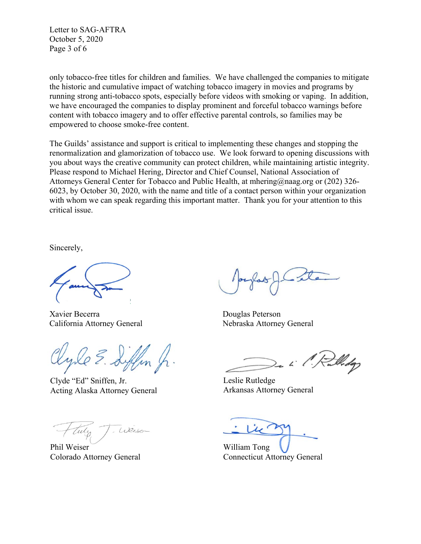Letter to SAG-AFTRA October 5, 2020 Page 3 of 6

only tobacco-free titles for children and families. We have challenged the companies to mitigate the historic and cumulative impact of watching tobacco imagery in movies and programs by running strong anti-tobacco spots, especially before videos with smoking or vaping. In addition, we have encouraged the companies to display prominent and forceful tobacco warnings before content with tobacco imagery and to offer effective parental controls, so families may be empowered to choose smoke-free content.

The Guilds' assistance and support is critical to implementing these changes and stopping the renormalization and glamorization of tobacco use. We look forward to opening discussions with you about ways the creative community can protect children, while maintaining artistic integrity. Please respond to Michael Hering, Director and Chief Counsel, National Association of Attorneys General Center for Tobacco and Public Health, at mhering@naag.org or (202) 326- 6023, by October 30, 2020, with the name and title of a contact person within your organization with whom we can speak regarding this important matter. Thank you for your attention to this critical issue.

Sincerely,

Xavier Becerra Douglas Peterson California Attorney General Nebraska Attorney General

Clyde "Ed" Sniffen, Jr. Acting Alaska Attorney General

Weise

Phil Weiser Colorado Attorney General

lledge

Leslie Rutledge Arkansas Attorney General

William Tong Connecticut Attorney General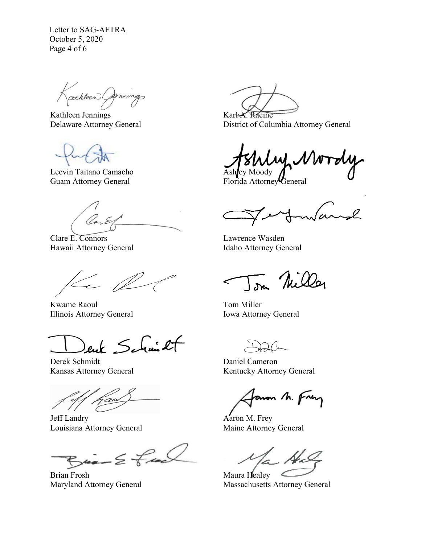Letter to SAG-AFTRA October 5, 2020 Page 4 of 6

athleen Comings

Kathleen Jennings Delaware Attorney General

Leevin Taitano Camacho Guam Attorney General

Clare E. Connors Hawaii Attorney General

 $\left( \begin{array}{c} \mathcal{L} \end{array} \right)$ 

Kwame Raoul Illinois Attorney General

ent Schmit

Derek Schmidt Kansas Attorney General

j

Jeff Landry Louisiana Attorney General

 $Bia - E$  feel

Brian Frosh Maryland Attorney General

Karl-A. Racine District of Columbia Attorney General

Ashley Moody

Florida Attorney General

 $\sim$ l ma

Lawrence Wasden Idaho Attorney General

Tom Miller

Tom Miller Iowa Attorney General

Daniel Cameron Kentucky Attorney General

aron M. Frey

Aaron M. Frey Maine Attorney General

Maura Healey Massachusetts Attorney General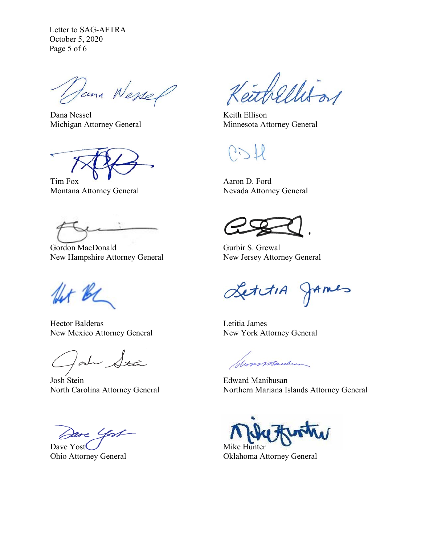Letter to SAG-AFTRA October 5, 2020 Page 5 of 6

Dana Wessel

Dana Nessel Michigan Attorney General

Tim Fox Montana Attorney General

Gordon MacDonald New Hampshire Attorney General

for be

Hector Balderas New Mexico Attorney General

lad Stán

Josh Stein North Carolina Attorney General

Dave Yost

Dave Yost Ohio Attorney General

eithellis or

Keith Ellison Minnesota Attorney General

 $\frac{1}{2}$ 

Aaron D. Ford Nevada Attorney General

Gurbir S. Grewal New Jersey Attorney General

LettiA JAmes

Letitia James New York Attorney General

formanderson

Edward Manibusan Northern Mariana Islands Attorney General

Mike Hunter

Oklahoma Attorney General